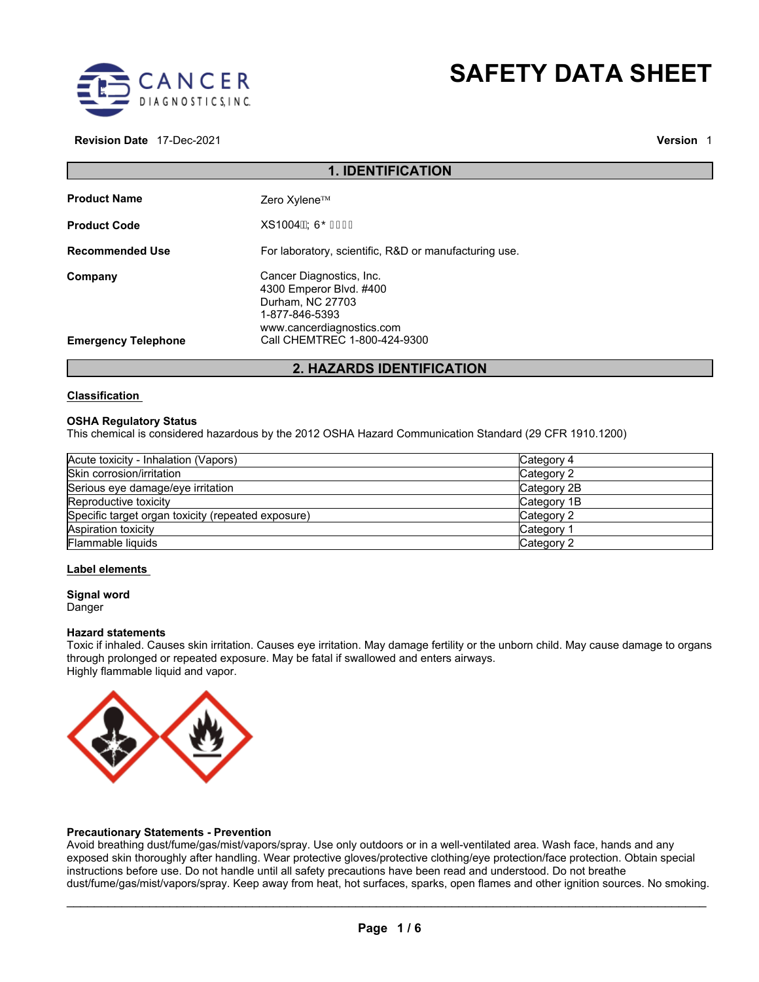

# **SAFETY DATA SHEET**

**Revision Date** 17-Dec-2021 **Version** 1

| <b>1. IDENTIFICATION</b>   |                                                                                                                        |  |
|----------------------------|------------------------------------------------------------------------------------------------------------------------|--|
| <b>Product Name</b>        | Zero Xylene™                                                                                                           |  |
| <b>Product Code</b>        | XS1004BÝÙÕF <del>€</del> E                                                                                             |  |
| <b>Recommended Use</b>     | For laboratory, scientific, R&D or manufacturing use.                                                                  |  |
| Company                    | Cancer Diagnostics, Inc.<br>4300 Emperor Blvd. #400<br>Durham, NC 27703<br>1-877-846-5393<br>www.cancerdiagnostics.com |  |
| <b>Emergency Telephone</b> | Call CHEMTREC 1-800-424-9300                                                                                           |  |

# **2. HAZARDS IDENTIFICATION**

#### **Classification**

#### **OSHA Regulatory Status**

This chemical is considered hazardous by the 2012 OSHA Hazard Communication Standard (29 CFR 1910.1200)

| Acute toxicity - Inhalation (Vapors)               | Category 4            |
|----------------------------------------------------|-----------------------|
| Skin corrosion/irritation                          | Category 2            |
| Serious eye damage/eye irritation                  | Category 2B           |
| Reproductive toxicity                              | Category 1B           |
| Specific target organ toxicity (repeated exposure) | Category 2            |
| Aspiration toxicity                                | Category <sup>.</sup> |
| Flammable liquids                                  | lCategory 2           |

#### **Label elements**

**Signal word** Danger

#### **Hazard statements**

Toxic if inhaled. Causes skin irritation. Causes eye irritation. May damage fertility or the unborn child. May cause damage to organs through prolonged or repeated exposure. May be fatal if swallowed and enters airways. Highly flammable liquid and vapor.

## **Precautionary Statements - Prevention**

Avoid breathing dust/fume/gas/mist/vapors/spray. Use only outdoors or in a well-ventilated area. Wash face, hands and any exposed skin thoroughly after handling. Wear protective gloves/protective clothing/eye protection/face protection. Obtain special instructions before use. Do not handle until all safety precautions have been read and understood. Do not breathe dust/fume/gas/mist/vapors/spray. Keep away from heat, hot surfaces, sparks, open flames and other ignition sources. No smoking.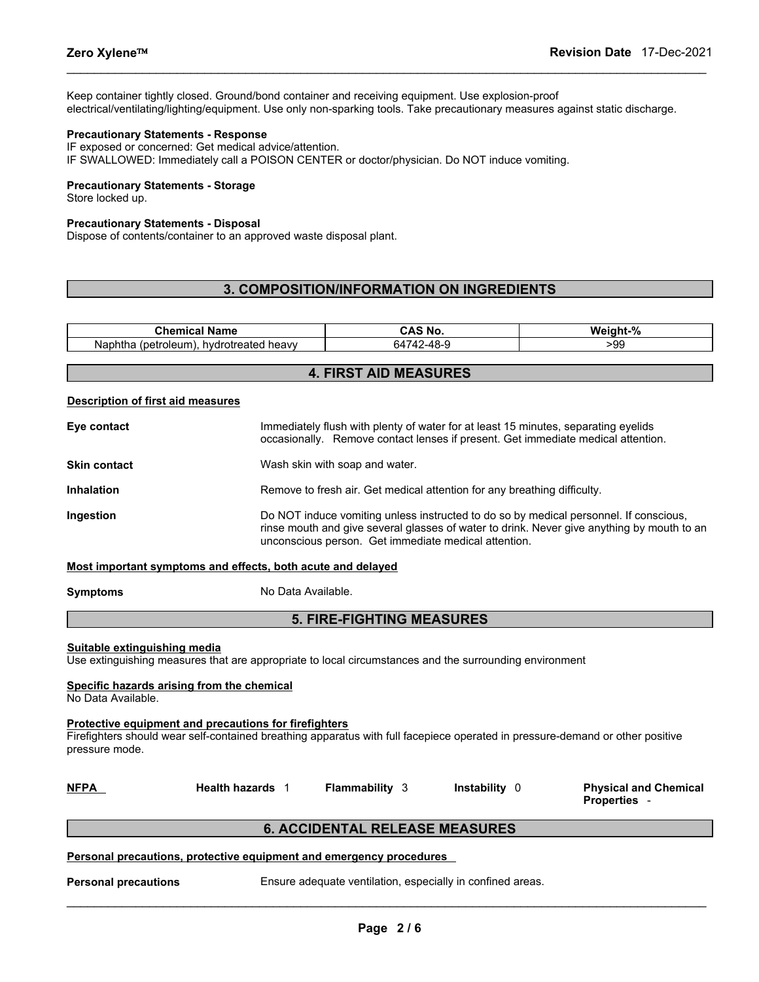Keep container tightly closed. Ground/bond container and receiving equipment. Use explosion-proof electrical/ventilating/lighting/equipment. Use only non-sparking tools. Take precautionary measures against static discharge.

#### **Precautionary Statements - Response**

IF exposed or concerned: Get medical advice/attention. IF SWALLOWED: Immediately call a POISON CENTER or doctor/physician. Do NOT induce vomiting.

#### **Precautionary Statements - Storage**

Store locked up.

# **Precautionary Statements - Disposal**

Dispose of contents/container to an approved waste disposal plant.

# **3. COMPOSITION/INFORMATION ON INGREDIENTS**

| <b>Chamu</b><br>- ---<br>rame<br>$\blacksquare$ | $\sim$<br>Νo | . .<br>w<br>70 |
|-------------------------------------------------|--------------|----------------|
| oleumi<br>hvdro<br>neav∖<br>٨Ŀ<br>аю<br>ாப      | $\cdot$      | ູ              |

# **4. FIRST AID MEASURES**

#### **Description of first aid measures**

| Eye contact         | Immediately flush with plenty of water for at least 15 minutes, separating eyelids<br>occasionally. Remove contact lenses if present. Get immediate medical attention.                                                                      |
|---------------------|---------------------------------------------------------------------------------------------------------------------------------------------------------------------------------------------------------------------------------------------|
| <b>Skin contact</b> | Wash skin with soap and water.                                                                                                                                                                                                              |
| <b>Inhalation</b>   | Remove to fresh air. Get medical attention for any breathing difficulty.                                                                                                                                                                    |
| <b>Ingestion</b>    | Do NOT induce vomiting unless instructed to do so by medical personnel. If conscious,<br>rinse mouth and give several glasses of water to drink. Never give anything by mouth to an<br>unconscious person. Get immediate medical attention. |

#### **Most important symptoms and effects, both acute and delayed**

**Symptoms** No Data Available.

# **5. FIRE-FIGHTING MEASURES**

# **Suitable extinguishing media**

Use extinguishing measures that are appropriate to local circumstances and the surrounding environment

# **Specific hazards arising from the chemical**

No Data Available.

#### **Protective equipment and precautions for firefighters**

Firefighters should wear self-contained breathing apparatus with full facepiece operated in pressure-demand or other positive pressure mode.

|--|

**NFPA Health hazards** 1 **Flammability** 3 **Instability** 0 **Physical and Chemical Properties** -

# **6. ACCIDENTAL RELEASE MEASURES**

#### **Personal precautions, protective equipment and emergency procedures**

**Personal precautions Ensure adequate ventilation, especially in confined areas.**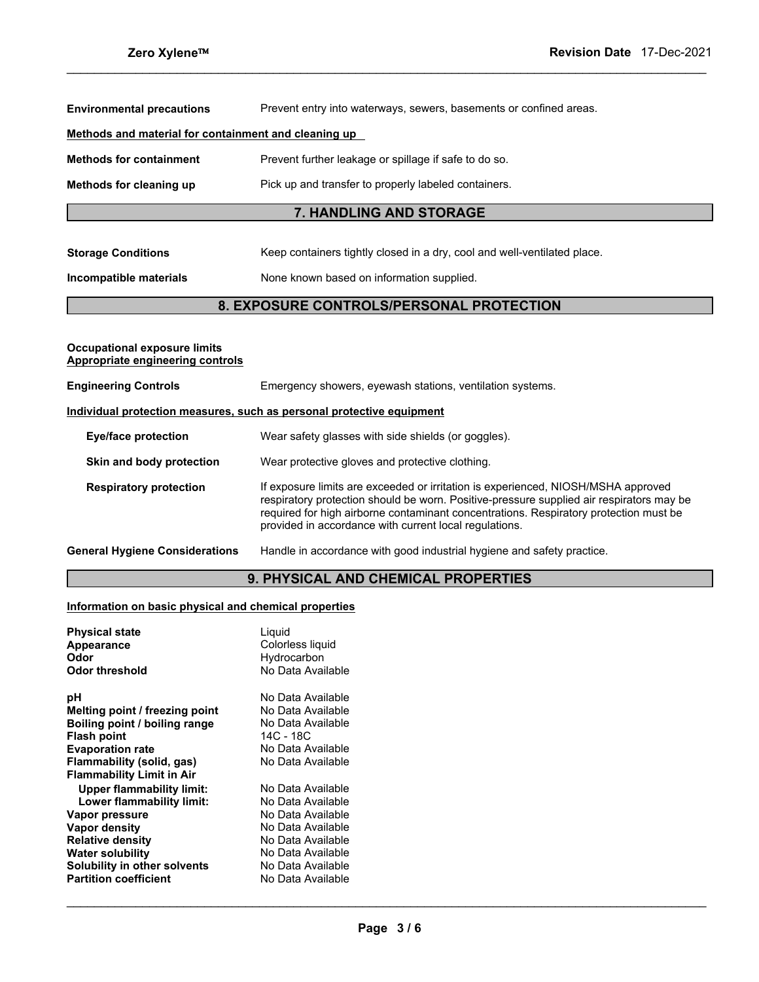| <b>Storage Conditions</b>                            | Keep containers tightly closed in a dry, cool and well-ventilated place. |
|------------------------------------------------------|--------------------------------------------------------------------------|
|                                                      | 7. HANDLING AND STORAGE                                                  |
| Methods for cleaning up                              | Pick up and transfer to properly labeled containers.                     |
| <b>Methods for containment</b>                       | Prevent further leakage or spillage if safe to do so.                    |
| Methods and material for containment and cleaning up |                                                                          |
| <b>Environmental precautions</b>                     | Prevent entry into waterways, sewers, basements or confined areas.       |

# **Incompatible materials None known based on information supplied.**

# **8. EXPOSURE CONTROLS/PERSONAL PROTECTION**

| <b>Occupational exposure limits</b><br>Appropriate engineering controls |                                                                                                                                                                                                                                                                                                                                  |
|-------------------------------------------------------------------------|----------------------------------------------------------------------------------------------------------------------------------------------------------------------------------------------------------------------------------------------------------------------------------------------------------------------------------|
| <b>Engineering Controls</b>                                             | Emergency showers, eyewash stations, ventilation systems.                                                                                                                                                                                                                                                                        |
|                                                                         | Individual protection measures, such as personal protective equipment                                                                                                                                                                                                                                                            |
| Eye/face protection                                                     | Wear safety glasses with side shields (or goggles).                                                                                                                                                                                                                                                                              |
| Skin and body protection                                                | Wear protective gloves and protective clothing.                                                                                                                                                                                                                                                                                  |
| <b>Respiratory protection</b>                                           | If exposure limits are exceeded or irritation is experienced, NIOSH/MSHA approved<br>respiratory protection should be worn. Positive-pressure supplied air respirators may be<br>required for high airborne contaminant concentrations. Respiratory protection must be<br>provided in accordance with current local regulations. |
| <b>General Hygiene Considerations</b>                                   | Handle in accordance with good industrial hygiene and safety practice.                                                                                                                                                                                                                                                           |

# **9. PHYSICAL AND CHEMICAL PROPERTIES**

# **Information on basic physical and chemical properties**

| <b>Physical state</b>                                                                                                                                                                                                                             | Liguid                                                                                                                                                       |
|---------------------------------------------------------------------------------------------------------------------------------------------------------------------------------------------------------------------------------------------------|--------------------------------------------------------------------------------------------------------------------------------------------------------------|
| Appearance                                                                                                                                                                                                                                        | Colorless liquid                                                                                                                                             |
| Odor                                                                                                                                                                                                                                              | Hydrocarbon                                                                                                                                                  |
| Odor threshold                                                                                                                                                                                                                                    | No Data Available                                                                                                                                            |
| рH<br>Melting point / freezing point<br>Boiling point / boiling range<br><b>Flash point</b><br><b>Evaporation rate</b><br>Flammability (solid, gas)<br><b>Flammability Limit in Air</b><br>Upper flammability limit:<br>Lower flammability limit: | No Data Available<br>No Data Available<br>No Data Available<br>14C - 18C<br>No Data Available<br>No Data Available<br>No Data Available<br>No Data Available |
| Vapor pressure                                                                                                                                                                                                                                    | No Data Available                                                                                                                                            |
| Vapor density                                                                                                                                                                                                                                     | No Data Available                                                                                                                                            |
| <b>Relative density</b>                                                                                                                                                                                                                           | No Data Available                                                                                                                                            |
| <b>Water solubility</b>                                                                                                                                                                                                                           | No Data Available                                                                                                                                            |
| Solubility in other solvents                                                                                                                                                                                                                      | No Data Available                                                                                                                                            |
| <b>Partition coefficient</b>                                                                                                                                                                                                                      | No Data Available                                                                                                                                            |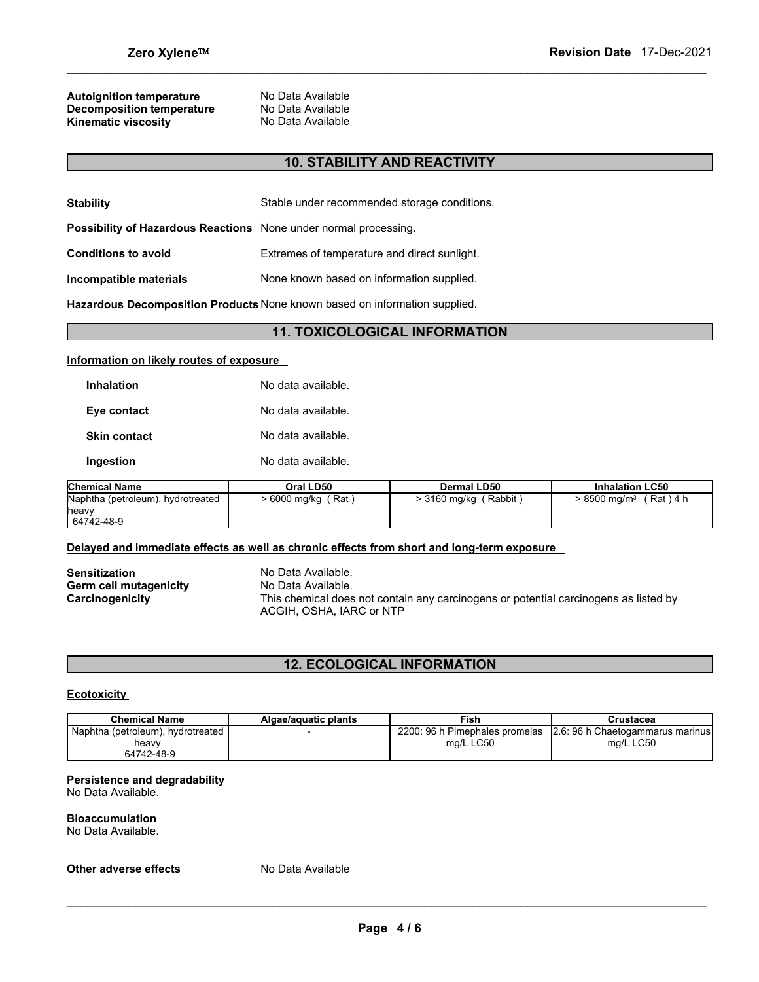# **Autoignition temperature No Data Available**<br> **Decomposition temperature** No Data Available **Decomposition temperature No Data Available**<br>**Kinematic viscosity No Data Available Kinematic viscosity**

# **10. STABILITY AND REACTIVITY**

| <b>Stability</b>                                                 | Stable under recommended storage conditions. |
|------------------------------------------------------------------|----------------------------------------------|
| Possibility of Hazardous Reactions None under normal processing. |                                              |
| <b>Conditions to avoid</b>                                       | Extremes of temperature and direct sunlight. |
| Incompatible materials                                           | None known based on information supplied.    |

**Hazardous Decomposition Products** None known based on information supplied.

# **11. TOXICOLOGICAL INFORMATION**

#### **Information on likely routes of exposure**

| <b>Inhalation</b>   | No data available. |
|---------------------|--------------------|
| Eye contact         | No data available. |
| <b>Skin contact</b> | No data available. |
| Ingestion           | No data available. |

| <b>Chemical Name</b>              | Oral LD50          | <b>Dermal LD50</b>             | <b>Inhalation LC50</b>                |
|-----------------------------------|--------------------|--------------------------------|---------------------------------------|
| Naphtha (petroleum), hydrotreated | > 6000 mg/kg (Rat) | ´ Rabbit )<br>$> 3160$ mg/kg ( | Rat ) 4 h<br>> 8500 ma/m <sup>3</sup> |
| <b>Theavy</b>                     |                    |                                |                                       |
| 64742-48-9                        |                    |                                |                                       |

# **Delayed and immediate effects as well as chronic effects from short and long-term exposure**

**Sensitization No Data Available.**<br> **Germ cell mutagenicity No Data Available. Germ cell mutagenicity<br>Carcinogenicity** 

This chemical does not contain any carcinogens or potential carcinogens as listed by ACGIH, OSHA, IARC or NTP

# **12. ECOLOGICAL INFORMATION**

# **Ecotoxicity**

| <b>Chemical Name</b>                  | Algae/aguatic plants | Fish.                          | Crustacea                         |
|---------------------------------------|----------------------|--------------------------------|-----------------------------------|
| I Naphtha (petroleum), hydrotreated ' |                      | 2200: 96 h Pimephales promelas | 12.6: 96 h Chaetogammarus marinus |
| heavv                                 |                      | ma/L LC50                      | ma/L LC50                         |
| 64742-48-9                            |                      |                                |                                   |

#### **Persistence and degradability** No Data Available.

# **Bioaccumulation**

No Data Available.

# **Other adverse effects** No Data Available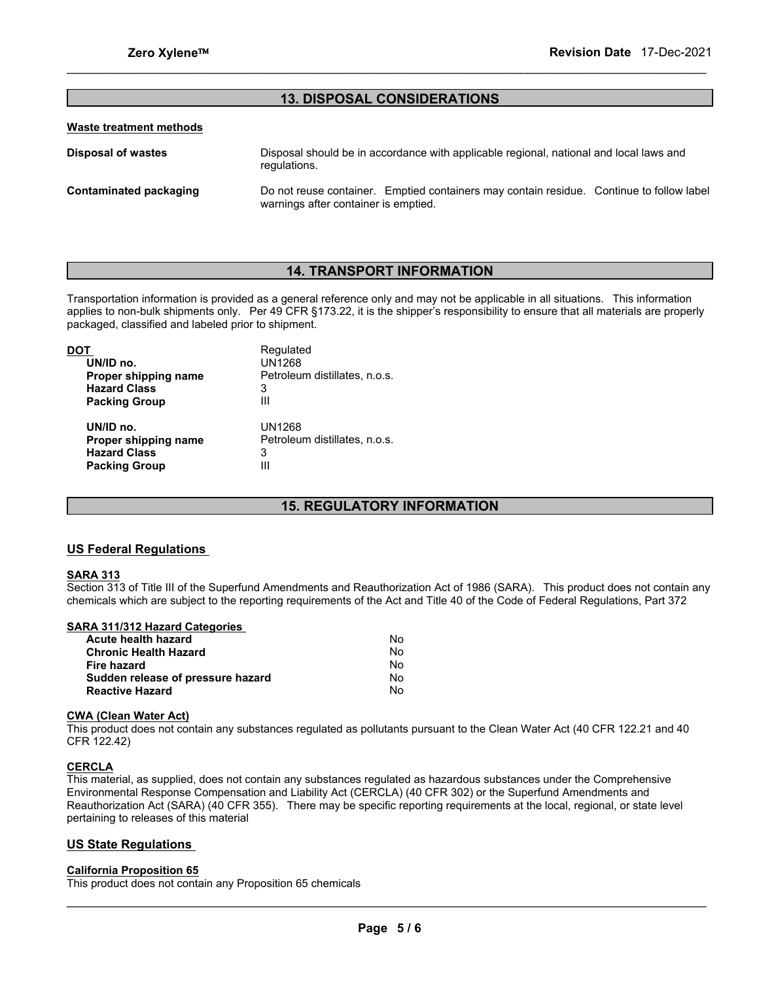# **13. DISPOSAL CONSIDERATIONS**

#### **Waste treatment methods**

| Disposal of wastes     | Disposal should be in accordance with applicable regional, national and local laws and<br>regulations.                           |
|------------------------|----------------------------------------------------------------------------------------------------------------------------------|
| Contaminated packaging | Do not reuse container. Emptied containers may contain residue. Continue to follow label<br>warnings after container is emptied. |

# **14. TRANSPORT INFORMATION**

Transportation information is provided as a general reference only and may not be applicable in all situations. This information applies to non-bulk shipments only. Per 49 CFR §173.22, it is the shipper's responsibility to ensure that all materials are properly packaged, classified and labeled prior to shipment.

| DO1                  | Regulated                     |
|----------------------|-------------------------------|
| UN/ID no.            | <b>UN1268</b>                 |
| Proper shipping name | Petroleum distillates, n.o.s. |
| <b>Hazard Class</b>  | 3                             |
| <b>Packing Group</b> | Ш                             |
| UN/ID no.            | UN1268                        |
| Proper shipping name | Petroleum distillates, n.o.s. |
| <b>Hazard Class</b>  | 3                             |
| <b>Packing Group</b> | Ш                             |

# **15. REGULATORY INFORMATION**

#### **US Federal Regulations**

#### **SARA 313**

Section 313 of Title III of the Superfund Amendments and Reauthorization Act of 1986 (SARA). This product does not contain any chemicals which are subject to the reporting requirements of the Act and Title 40 of the Code of Federal Regulations, Part 372

# **SARA 311/312 Hazard Categories**

| Acute health hazard               | No |
|-----------------------------------|----|
| <b>Chronic Health Hazard</b>      | No |
| Fire hazard                       | N∩ |
| Sudden release of pressure hazard | No |
| <b>Reactive Hazard</b>            | No |

#### **CWA (Clean Water Act)**

This product does not contain any substances regulated as pollutants pursuant to the Clean Water Act (40 CFR 122.21 and 40 CFR 122.42)

# **CERCLA**

This material, as supplied, does not contain any substances regulated as hazardous substances under the Comprehensive Environmental Response Compensation and Liability Act (CERCLA) (40 CFR 302) or the Superfund Amendments and Reauthorization Act (SARA) (40 CFR 355). There may be specific reporting requirements at the local, regional, or state level pertaining to releases of this material

# **US State Regulations**

#### **California Proposition 65**

This product does not contain any Proposition 65 chemicals